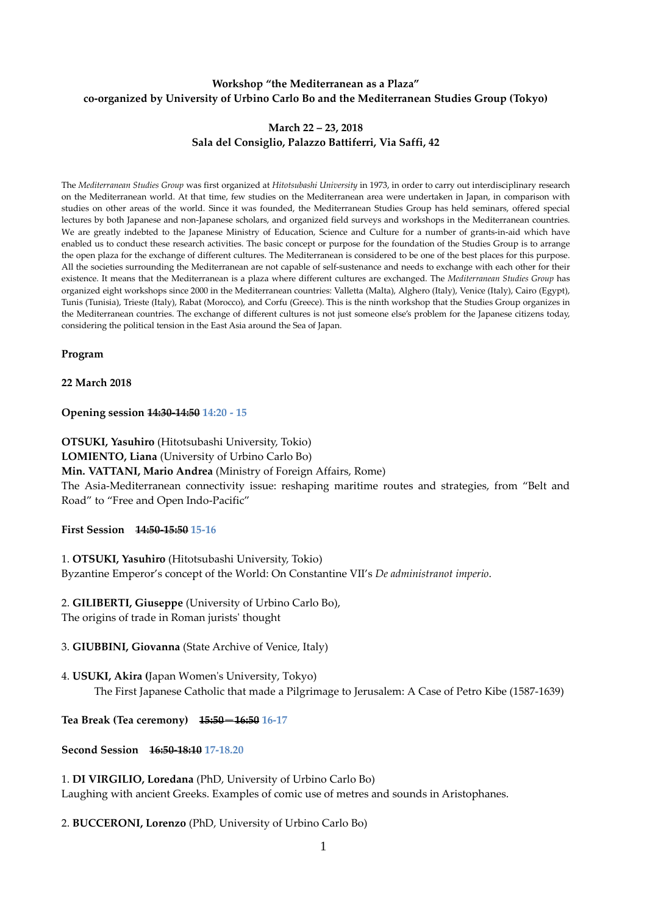### **Workshop "the Mediterranean as a Plaza" co-organized by University of Urbino Carlo Bo and the Mediterranean Studies Group (Tokyo)**

#### **March 22 – 23, 2018 Sala del Consiglio, Palazzo Battiferri, Via Saffi, 42**

The *Mediterranean Studies Group* was first organized at *Hitotsubashi University* in 1973, in order to carry out interdisciplinary research on the Mediterranean world. At that time, few studies on the Mediterranean area were undertaken in Japan, in comparison with studies on other areas of the world. Since it was founded, the Mediterranean Studies Group has held seminars, offered special lectures by both Japanese and non-Japanese scholars, and organized field surveys and workshops in the Mediterranean countries. We are greatly indebted to the Japanese Ministry of Education, Science and Culture for a number of grants-in-aid which have enabled us to conduct these research activities. The basic concept or purpose for the foundation of the Studies Group is to arrange the open plaza for the exchange of different cultures. The Mediterranean is considered to be one of the best places for this purpose. All the societies surrounding the Mediterranean are not capable of self-sustenance and needs to exchange with each other for their existence. It means that the Mediterranean is a plaza where different cultures are exchanged. The *Mediterranean Studies Group* has organized eight workshops since 2000 in the Mediterranean countries: Valletta (Malta), Alghero (Italy), Venice (Italy), Cairo (Egypt), Tunis (Tunisia), Trieste (Italy), Rabat (Morocco), and Corfu (Greece). This is the ninth workshop that the Studies Group organizes in the Mediterranean countries. The exchange of different cultures is not just someone else's problem for the Japanese citizens today, considering the political tension in the East Asia around the Sea of Japan.

**Program**

**22 March 2018**

**Opening session 14:30-14:50 14:20 - 15**

**OTSUKI, Yasuhiro** (Hitotsubashi University, Tokio) **LOMIENTO, Liana** (University of Urbino Carlo Bo) **Min. VATTANI, Mario Andrea** (Ministry of Foreign Affairs, Rome) The Asia-Mediterranean connectivity issue: reshaping maritime routes and strategies, from "Belt and Road" to "Free and Open Indo-Pacific"

**First Session 14:50-15:50 15-16**

1. **OTSUKI, Yasuhiro** (Hitotsubashi University, Tokio) Byzantine Emperor's concept of the World: On Constantine VII's *De administranot imperio*.

2. **GILIBERTI, Giuseppe** (University of Urbino Carlo Bo), The origins of trade in Roman jurists' thought

3. **GIUBBINI, Giovanna** (State Archive of Venice, Italy)

4. **USUKI, Akira (**Japan Women's University, Tokyo) The First Japanese Catholic that made a Pilgrimage to Jerusalem: A Case of Petro Kibe (1587-1639)

**Tea Break (Tea ceremony) 15:50**-**16:50 16-17**

**Second Session 16:50-18:10 17-18.20**

1. **DI VIRGILIO, Loredana** (PhD, University of Urbino Carlo Bo) Laughing with ancient Greeks. Examples of comic use of metres and sounds in Aristophanes.

2. **BUCCERONI, Lorenzo** (PhD, University of Urbino Carlo Bo)